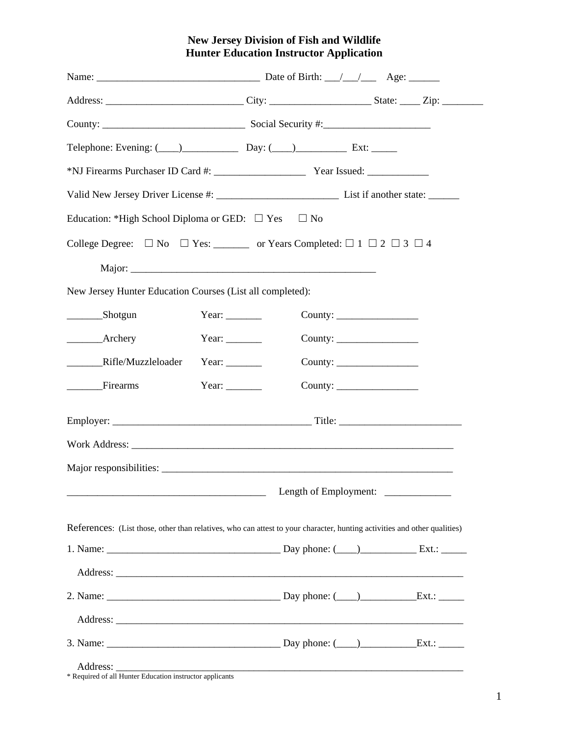## **New Jersey Division of Fish and Wildlife Hunter Education Instructor Application**

| Telephone: Evening: $(\_\_\_\_\_$ Day: $(\_\_\_\_\_$ Day: $(\_\_\_\_\_$ Ext:                                             |                                     |  |  |  |  |
|--------------------------------------------------------------------------------------------------------------------------|-------------------------------------|--|--|--|--|
|                                                                                                                          |                                     |  |  |  |  |
|                                                                                                                          |                                     |  |  |  |  |
| Education: *High School Diploma or GED: $\Box$ Yes $\Box$ No                                                             |                                     |  |  |  |  |
| College Degree: $\Box$ No $\Box$ Yes: __________ or Years Completed: $\Box$ 1 $\Box$ 2 $\Box$ 3 $\Box$ 4                 |                                     |  |  |  |  |
|                                                                                                                          |                                     |  |  |  |  |
| New Jersey Hunter Education Courses (List all completed):                                                                |                                     |  |  |  |  |
| Shotgun                                                                                                                  | Year: $\_\_$                        |  |  |  |  |
|                                                                                                                          | Year: $\_\_$                        |  |  |  |  |
| _________Rifle/Muzzleloader                                                                                              | Year: $\_\_$                        |  |  |  |  |
| _______Firearms                                                                                                          | Year: $\_\_$                        |  |  |  |  |
|                                                                                                                          |                                     |  |  |  |  |
|                                                                                                                          |                                     |  |  |  |  |
|                                                                                                                          |                                     |  |  |  |  |
|                                                                                                                          | Length of Employment: _____________ |  |  |  |  |
| References: (List those, other than relatives, who can attest to your character, hunting activities and other qualities) |                                     |  |  |  |  |
|                                                                                                                          |                                     |  |  |  |  |
|                                                                                                                          |                                     |  |  |  |  |
|                                                                                                                          |                                     |  |  |  |  |
|                                                                                                                          |                                     |  |  |  |  |
|                                                                                                                          |                                     |  |  |  |  |
|                                                                                                                          |                                     |  |  |  |  |

\* Required of all Hunter Education instructor applicants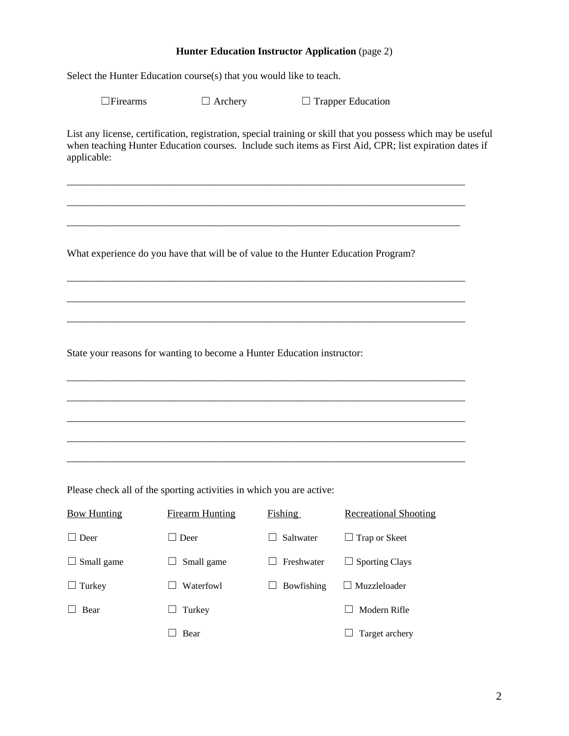## **Hunter Education Instructor Application** (page 2)

Select the Hunter Education course(s) that you would like to teach.

☐Firearms ☐ Archery ☐ Trapper Education

List any license, certification, registration, special training or skill that you possess which may be useful when teaching Hunter Education courses. Include such items as First Aid, CPR; list expiration dates if applicable:

\_\_\_\_\_\_\_\_\_\_\_\_\_\_\_\_\_\_\_\_\_\_\_\_\_\_\_\_\_\_\_\_\_\_\_\_\_\_\_\_\_\_\_\_\_\_\_\_\_\_\_\_\_\_\_\_\_\_\_\_\_\_\_\_\_\_\_\_\_\_\_\_\_\_\_\_\_\_

\_\_\_\_\_\_\_\_\_\_\_\_\_\_\_\_\_\_\_\_\_\_\_\_\_\_\_\_\_\_\_\_\_\_\_\_\_\_\_\_\_\_\_\_\_\_\_\_\_\_\_\_\_\_\_\_\_\_\_\_\_\_\_\_\_\_\_\_\_\_\_\_\_\_\_\_\_\_

\_\_\_\_\_\_\_\_\_\_\_\_\_\_\_\_\_\_\_\_\_\_\_\_\_\_\_\_\_\_\_\_\_\_\_\_\_\_\_\_\_\_\_\_\_\_\_\_\_\_\_\_\_\_\_\_\_\_\_\_\_\_\_\_\_\_\_\_\_\_\_\_\_\_\_\_\_

\_\_\_\_\_\_\_\_\_\_\_\_\_\_\_\_\_\_\_\_\_\_\_\_\_\_\_\_\_\_\_\_\_\_\_\_\_\_\_\_\_\_\_\_\_\_\_\_\_\_\_\_\_\_\_\_\_\_\_\_\_\_\_\_\_\_\_\_\_\_\_\_\_\_\_\_\_\_

\_\_\_\_\_\_\_\_\_\_\_\_\_\_\_\_\_\_\_\_\_\_\_\_\_\_\_\_\_\_\_\_\_\_\_\_\_\_\_\_\_\_\_\_\_\_\_\_\_\_\_\_\_\_\_\_\_\_\_\_\_\_\_\_\_\_\_\_\_\_\_\_\_\_\_\_\_\_

\_\_\_\_\_\_\_\_\_\_\_\_\_\_\_\_\_\_\_\_\_\_\_\_\_\_\_\_\_\_\_\_\_\_\_\_\_\_\_\_\_\_\_\_\_\_\_\_\_\_\_\_\_\_\_\_\_\_\_\_\_\_\_\_\_\_\_\_\_\_\_\_\_\_\_\_\_\_

\_\_\_\_\_\_\_\_\_\_\_\_\_\_\_\_\_\_\_\_\_\_\_\_\_\_\_\_\_\_\_\_\_\_\_\_\_\_\_\_\_\_\_\_\_\_\_\_\_\_\_\_\_\_\_\_\_\_\_\_\_\_\_\_\_\_\_\_\_\_\_\_\_\_\_\_\_\_

\_\_\_\_\_\_\_\_\_\_\_\_\_\_\_\_\_\_\_\_\_\_\_\_\_\_\_\_\_\_\_\_\_\_\_\_\_\_\_\_\_\_\_\_\_\_\_\_\_\_\_\_\_\_\_\_\_\_\_\_\_\_\_\_\_\_\_\_\_\_\_\_\_\_\_\_\_\_

\_\_\_\_\_\_\_\_\_\_\_\_\_\_\_\_\_\_\_\_\_\_\_\_\_\_\_\_\_\_\_\_\_\_\_\_\_\_\_\_\_\_\_\_\_\_\_\_\_\_\_\_\_\_\_\_\_\_\_\_\_\_\_\_\_\_\_\_\_\_\_\_\_\_\_\_\_\_

\_\_\_\_\_\_\_\_\_\_\_\_\_\_\_\_\_\_\_\_\_\_\_\_\_\_\_\_\_\_\_\_\_\_\_\_\_\_\_\_\_\_\_\_\_\_\_\_\_\_\_\_\_\_\_\_\_\_\_\_\_\_\_\_\_\_\_\_\_\_\_\_\_\_\_\_\_\_

\_\_\_\_\_\_\_\_\_\_\_\_\_\_\_\_\_\_\_\_\_\_\_\_\_\_\_\_\_\_\_\_\_\_\_\_\_\_\_\_\_\_\_\_\_\_\_\_\_\_\_\_\_\_\_\_\_\_\_\_\_\_\_\_\_\_\_\_\_\_\_\_\_\_\_\_\_\_

What experience do you have that will be of value to the Hunter Education Program?

State your reasons for wanting to become a Hunter Education instructor:

Please check all of the sporting activities in which you are active:

| <b>Bow Hunting</b> | <b>Firearm Hunting</b>           | Fishing    | <b>Recreational Shooting</b> |
|--------------------|----------------------------------|------------|------------------------------|
| $\Box$ Deer        | Deer<br>$\overline{\phantom{a}}$ | Saltwater  | $\Box$ Trap or Skeet         |
| Small game<br>ப    | Small game                       | Freshwater | Sporting Clays<br>ப          |
| Turkey<br>ப        | Waterfowl                        | Bowfishing | $\Box$ Muzzleloader          |
| Bear               | Turkey                           |            | Modern Rifle                 |
|                    | Bear                             |            | Target archery               |